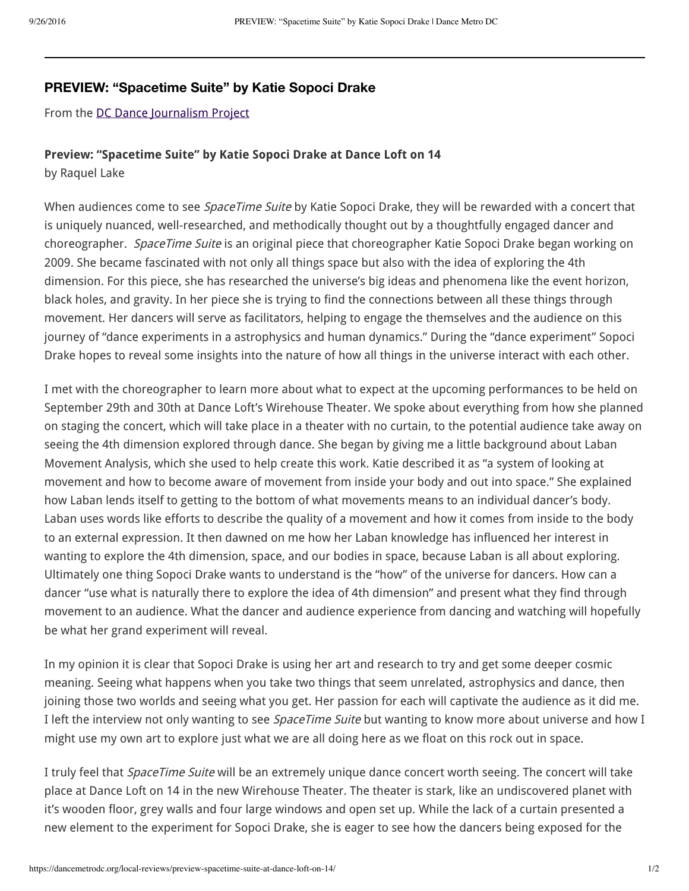## **PREVIEW: "Spacetime Suite" by Katie Sopoci Drake**

From the DC Dance Journalism Project

## **Preview: "pacetime uite" Katie opoci Drake at Dance Loft on 14**

by Raquel Lake

When audiences come to see *SpaceTime Suite* by Katie Sopoci Drake, they will be rewarded with a concert that is uniquely nuanced, well-researched, and methodically thought out by a thoughtfully engaged dancer and choreographer. *SpaceTime Suite* is an original piece that choreographer Katie Sopoci Drake began working on 2009. She became fascinated with not only all things space but also with the idea of exploring the 4th dimension. For this piece, she has researched the universe's big ideas and phenomena like the event horizon, black holes, and gravity. In her piece she is trying to find the connections between all these things through movement. Her dancers will serve as facilitators, helping to engage the themselves and the audience on this journey of "dance experiments in a astrophysics and human dynamics." During the "dance experiment" Sopoci Drake hopes to reveal some insights into the nature of how all things in the universe interact with each other.

I met with the choreographer to learn more about what to expect at the upcoming performances to be held on September 29th and 30th at Dance Loft's Wirehouse Theater. We spoke about everything from how she planned on staging the concert, which will take place in a theater with no curtain, to the potential audience take away on seeing the 4th dimension explored through dance. She began by giving me a little background about Laban Movement Analysis, which she used to help create this work. Katie described it as "a system of looking at movement and how to become aware of movement from inside your body and out into space." She explained how Laban lends itself to getting to the bottom of what movements means to an individual dancer's body. Laban uses words like efforts to describe the quality of a movement and how it comes from inside to the body to an external expression. It then dawned on me how her Laban knowledge has influenced her interest in wanting to explore the 4th dimension, space, and our bodies in space, because Laban is all about exploring. Ultimately one thing Sopoci Drake wants to understand is the "how" of the universe for dancers. How can a dancer "use what is naturally there to explore the idea of 4th dimension" and present what they find through movement to an audience. What the dancer and audience experience from dancing and watching will hopefull be what her grand experiment will reveal.

In my opinion it is clear that Sopoci Drake is using her art and research to try and get some deeper cosmic meaning. Seeing what happens when you take two things that seem unrelated, astrophysics and dance, then joining those two worlds and seeing what you get. Her passion for each will captivate the audience as it did me. I left the interview not only wanting to see *SpaceTime Suite* but wanting to know more about universe and how I might use my own art to explore just what we are all doing here as we float on this rock out in space.

I truly feel that *SpaceTime Suite* will be an extremely unique dance concert worth seeing. The concert will take place at Dance Loft on 14 in the new Wirehouse Theater. The theater is stark, like an undiscovered planet with it's wooden floor, grey walls and four large windows and open set up. While the lack of a curtain presented a new element to the experiment for Sopoci Drake, she is eager to see how the dancers being exposed for the